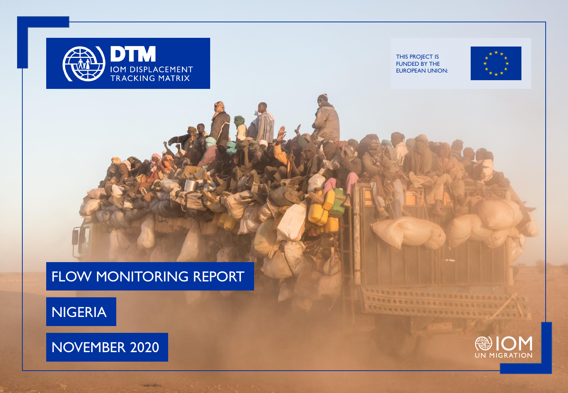

NIGERIA



**Address** 

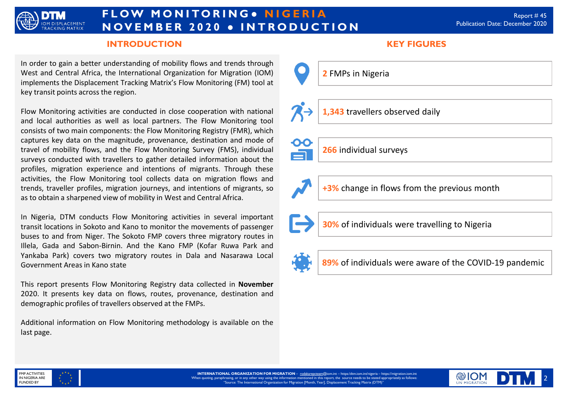

# **F L O W M O N I TO R I N G ● N I G E R I A N OV E M B E R 2 0 2 0 ● I N T R O D U C T I O N**

### **INTRODUCTION KEY FIGURES**

In order to gain a better understanding of mobility flows and trends through West and Central Africa, the International Organization for Migration (IOM) implements the Displacement Tracking Matrix's Flow Monitoring (FM) tool at key transit points across the region.

Flow Monitoring activities are conducted in close cooperation with national and local authorities as well as local partners. The Flow Monitoring tool consists of two main components: the Flow Monitoring Registry (FMR), which captures key data on the magnitude, provenance, destination and mode of travel of mobility flows, and the Flow Monitoring Survey (FMS), individual surveys conducted with travellers to gather detailed information about the profiles, migration experience and intentions of migrants. Through these activities, the Flow Monitoring tool collects data on migration flows and trends, traveller profiles, migration journeys, and intentions of migrants, so as to obtain a sharpened view of mobility in West and Central Africa.

In Nigeria, DTM conducts Flow Monitoring activities in several important transit locations in Sokoto and Kano to monitor the movements of passenger buses to and from Niger. The Sokoto FMP covers three migratory routes in Illela, Gada and Sabon-Birnin. And the Kano FMP (Kofar Ruwa Park and Yankaba Park) covers two migratory routes in Dala and Nasarawa Local Government Areas in Kano state

This report presents Flow Monitoring Registry data collected in **November** 2020. It presents key data on flows, routes, provenance, destination and demographic profiles of travellers observed at the FMPs.

Additional information on Flow Monitoring methodology is available on the last page.



**1,343** travellers observed daily



**266** individual surveys



**+3%** change in flows from the previous month

**30%** of individuals were travelling to Nigeria



**89%** of individuals were aware of the COVID-19 pandemic



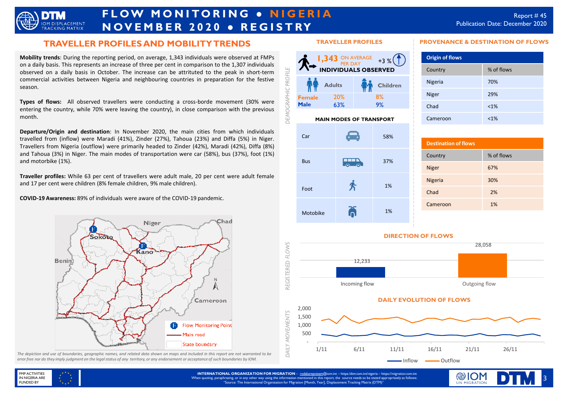

# **FLOW MONITORING . NIGERIA N OV E M B E R 2 0 2 0 ● R E G I S T RY**

**PROVENANCE & DESTINATION OF FLOWS**

Country % of flows Nigeria 70% Niger 29% Chad <1% Cameroon <1%

**Origin of flows**

### **TRAVELLER PROFILES AND MOBILITY TRENDS**

**Mobility trends**: During the reporting period, on average, 1,343 individuals were observed at FMPs on a daily basis. This represents an increase of three per cent in comparison to the 1,307 individuals observed on a daily basis in October. The increase can be attrituted to the peak in short-term commercial activities between Nigeria and neighbouring countries in preparation for the festive season.

**Types of flows:** All observed travellers were conducting a cross-borde movement (30% were entering the country, while 70% were leaving the country), in close comparison with the previous month.

**Departure/Origin and destination**: In November 2020, the main cities from which individuals travelled from (inflow) were Maradi (41%), Zinder (27%), Tahoua (23%) and Diffa (5%) in Niger. Travellers from Nigeria (outflow) were primarily headed to Zinder (42%), Maradi (42%), Diffa (8%) and Tahoua (3%) in Niger. The main modes of transportation were car (58%), bus (37%), foot (1%) and motorbike (1%).

**Traveller profiles:** While 63 per cent of travellers were adult male, 20 per cent were adult female and 17 per cent were children (8% female children, 9% male children).

**COVID-19 Awareness:** 89% of individuals were aware of the COVID-19 pandemic.



The depiction and use of boundaries, geographic names, and related data shown on maps and included in this report are not warranted to be error free nor do they imply judgment on the legal status of any territory, or any endorsement or acceptance of such boundaries by IOM.

#### **TRAVELLER PROFILES**



#### **MAIN MODES OF TRANSPORT**



## **Destination of flows** Country % of flows Niger 67% Nigeria 30% Chad 2% Cameroon 1%

#### **DIRECTION OF FLOWS**



1/11 6/11 11/11 16/11 21/11 26/11

**INTERNATIONAL ORGANIZATION FOR MIGRATION** – [rodakarepcteam@](mailto:rodakarepcteam@iom.int)iom.int – https:/dtm.iom.int/nigeria – https://migration.iom.int When quoting, paraphrasing, or in any other way using the information mentioned in this report, the source needs to be stated appropriately as follows: "Source: The International Organization for Migration [Month, Year], Displacement Tracking Matrix (DTM)" -Inflow - Outflow

 - 500



3

3

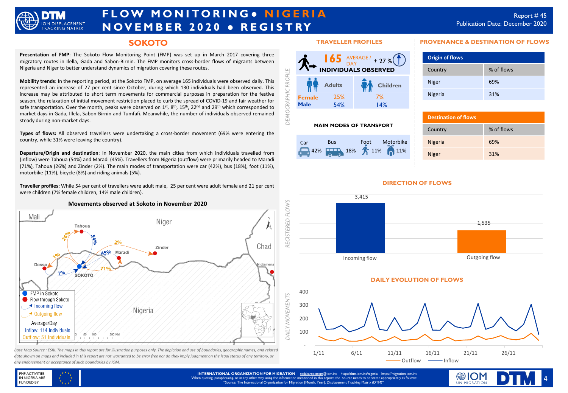

# **F L O W M O N I TO R I N G ● N I G E R I A N OV E M B E R 2 0 2 0 ● R E G I S T RY**

### **SOKOTO**

**Presentation of FMP**: The Sokoto Flow Monitoring Point (FMP) was set up in March 2017 covering three migratory routes in Ilella, Gada and Sabon-Birnin. The FMP monitors cross-border flows of migrants between Nigeria and Niger to better understand dynamics of migration covering these routes.

**Mobility trends**: In the reporting period, at the Sokoto FMP, on average 165 individuals were observed daily. This represented an increase of 27 per cent since October, during which 130 individuals had been observed. This increase may be attributed to short term movements for commercial purposes in preparation for the festive season, the relaxation of initial movement restriction placed to curb the spread of COVID-19 and fair weather for safe transportation. Over the month, peaks were observed on 1<sup>st</sup>, 8<sup>th</sup>, 15<sup>th</sup>, 22<sup>nd</sup> and 29<sup>th</sup> which corresponded to market days in Gada, Illela, Sabon-Birnin and Tumfafi. Meanwhile, the number of individuals observed remained steady during non-market days.

**Types of flows:** All observed travellers were undertaking a cross-border movement (69% were entering the country, while 31% were leaving the country).

**Departure/Origin and destination**: In November 2020, the main cities from which individuals travelled from (inflow) were Tahoua (54%) and Maradi (45%). Travellers from Nigeria (outflow) were primarily headed to Maradi (71%), Tahoua (26%) and Zinder (2%). The main modes of transportation were car (42%), bus (18%), foot (11%), motorbike (11%), bicycle (8%) and riding animals (5%).

**Traveller profiles:** While 54 per cent of travellers were adult male, 25 per cent were adult female and 21 per cent were children (7% female children, 14% male children).



*data shown on maps and included in this report are not warranted to be error free nor do they imply judgment on the legal status of any territory, or any endorsement or acceptance of such boundaries by IOM.*

#### **TRAVELLER PROFILES**



#### **MAIN MODES OF TRANSPORT**

| Car | <b>Bus</b> | Motorbike<br>Foot   |
|-----|------------|---------------------|
|     |            | 42% 42% 18% 11% 11% |

#### **PROVENANCE & DESTINATION OF FLOWS**

| <b>Origin of flows</b> |            |
|------------------------|------------|
| Country                | % of flows |
| <b>Niger</b>           | 69%        |
| Nigeria                | 31%        |

| <b>Destination of flows</b> |            |  |
|-----------------------------|------------|--|
| Country                     | % of flows |  |
| <b>Nigeria</b>              | 69%        |  |
| <b>Niger</b>                | 31%        |  |

#### **DIRECTION OF FLOWS**







**INTERNATIONAL ORGANIZATION FOR MIGRATION** – [rodakarepcteam@](mailto:rodakarepcteam@iom.int)iom.int – https:/dtm.iom.int/nigeria – https://migration.iom.int When quoting, paraphrasing, or in any other way using the information mentioned in this report, the source needs to be stated appropriately as follows: "Source: The International Organization for Migration [Month, Year], Displacement Tracking Matrix (DTM)"

*REGISTERED FLOWS*

**GISTERED** 

ξĕ

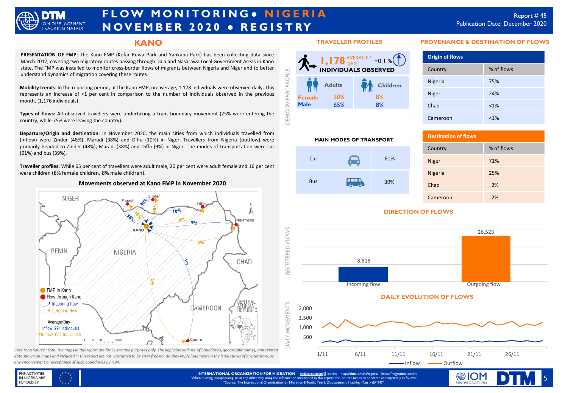

# **F L O W M O N I TO R I N G ● N I G E R I A N OV E M B E R 2 0 2 0 ● R E G I S T RY**

### **KANO**

**PRESENTATION OF FMP**: The Kano FMP (Kofar Ruwa Park and Yankaba Park) has been collecting data since March 2017, covering two migratory routes passing through Dala and Nasarawa Local Government Areas in Kano state. The FMP was installed to monitor cross-border flows of migrants between Nigeria and Niger and to better understand dynamics of migration covering these routes.

**Mobility trends**: In the reporting period, at the Kano FMP, on average, 1,178 individuals were observed daily. This represents an increase of <1 per cent in comparison to the number of individuals observed in the previous month, (1,176 individuals)

**Types of flows:** All observed travellers were undertaking a trans-boundary movement (25% were entering the country, while 75% were leaving the country).

**Departure/Origin and destination**: In November 2020, the main cities from which individuals travelled from (inflow) were Zinder (48%), Maradi (38%) and Diffa (10%) in Niger. Travellers from Nigeria (outflow) were primarily headed to Zinder (48%), Maradi (38%) and Diffa (9%) in Niger. The modes of transportation were car (61%) and bus (39%).

**Traveller profiles:** While 65 per cent of travellers were adult male, 20 per cent were adult female and 16 per cent were children (8% female children, 8% male children).

#### **Movements observed at Kano FMP in November 2020**



Base Map Source : ESRI. The maps in this report are for illustration purposes only. The depiction and use of boundaries, geographic names, and related *data shown on maps and included in this report are not warranted to be error free nor do they imply judgment on the legal status of any territory, or any endorsement or acceptance of such boundaries by IOM.*

#### **TRAVELLER PROFILES**



 $Car$  61%

 $\overline{a}$ 

**MAIN MODES OF TRANSPORT**

Bus

#### **PROVENANCE & DESTINATION OF FLOWS**

| <b>Origin of flows</b> |            |  |
|------------------------|------------|--|
| Country                | % of flows |  |
| Nigeria                | 75%        |  |
| <b>Niger</b>           | 24%        |  |
| Chad                   | $< 1\%$    |  |
| Cameroon               | $< 1\%$    |  |

| <b>Destination of flows</b> |            |  |
|-----------------------------|------------|--|
| Country                     | % of flows |  |
| <b>Niger</b>                | 71%        |  |
| Nigeria                     | 25%        |  |
| Chad                        | 2%         |  |
| Cameroon                    | 2%         |  |

5

### **DIRECTION OF FLOWS**

39%





**INTERNATIONAL ORGANIZATION FOR MIGRATION** – [rodakarepcteam@](mailto:rodakarepcteam@iom.int)iom.int – https:/dtm.iom.int/nigeria – https://migration.iom.int When quoting, paraphrasing, or in any other way using the information mentioned in this report, the source needs to be stated appropriately as follows: "Source: The International Organization for Migration [Month, Year], Displacement Tracking Matrix (DTM)"